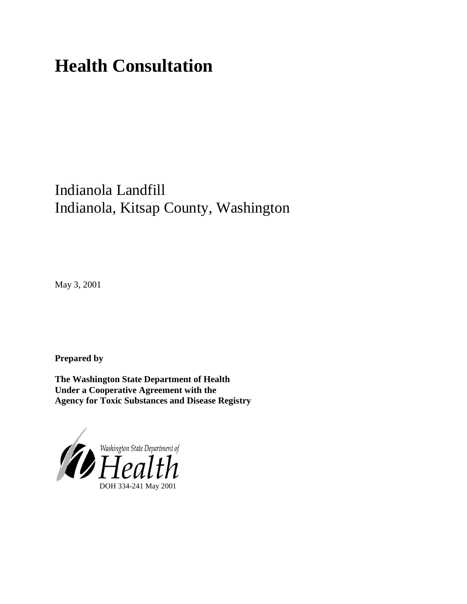# **Health Consultation**

## Indianola Landfill Indianola, Kitsap County, Washington

May 3, 2001

**Prepared by**

**The Washington State Department of Health Under a Cooperative Agreement with the Agency for Toxic Substances and Disease Registry**

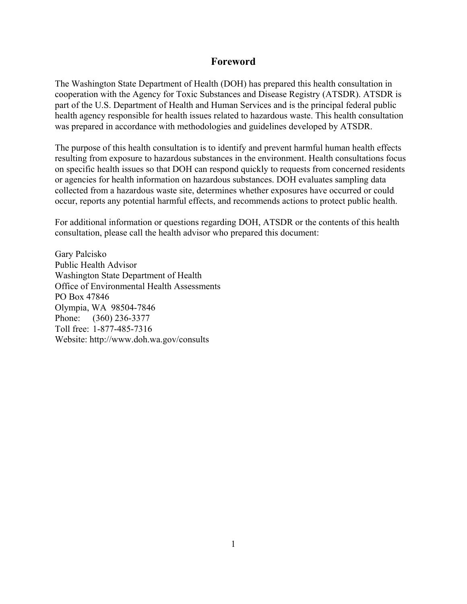#### **Foreword**

The Washington State Department of Health (DOH) has prepared this health consultation in cooperation with the Agency for Toxic Substances and Disease Registry (ATSDR). ATSDR is part of the U.S. Department of Health and Human Services and is the principal federal public health agency responsible for health issues related to hazardous waste. This health consultation was prepared in accordance with methodologies and guidelines developed by ATSDR.

The purpose of this health consultation is to identify and prevent harmful human health effects resulting from exposure to hazardous substances in the environment. Health consultations focus on specific health issues so that DOH can respond quickly to requests from concerned residents or agencies for health information on hazardous substances. DOH evaluates sampling data collected from a hazardous waste site, determines whether exposures have occurred or could occur, reports any potential harmful effects, and recommends actions to protect public health.

For additional information or questions regarding DOH, ATSDR or the contents of this health consultation, please call the health advisor who prepared this document:

Gary Palcisko Public Health Advisor Washington State Department of Health Office of Environmental Health Assessments PO Box 47846 Olympia, WA 98504-7846 Phone: (360) 236-3377 Toll free: 1-877-485-7316 Website: [http://www.doh.wa.gov/](http://www.doh.wa.gov/consults)consults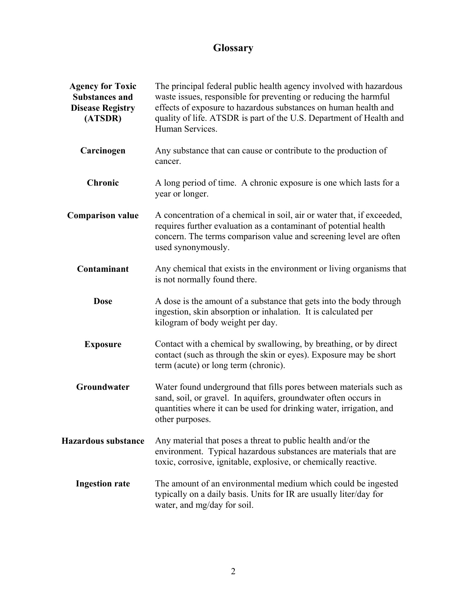## **Glossary**

| <b>Agency for Toxic</b><br><b>Substances and</b><br><b>Disease Registry</b><br>(ATSDR) | The principal federal public health agency involved with hazardous<br>waste issues, responsible for preventing or reducing the harmful<br>effects of exposure to hazardous substances on human health and<br>quality of life. ATSDR is part of the U.S. Department of Health and<br>Human Services. |  |
|----------------------------------------------------------------------------------------|-----------------------------------------------------------------------------------------------------------------------------------------------------------------------------------------------------------------------------------------------------------------------------------------------------|--|
| Carcinogen                                                                             | Any substance that can cause or contribute to the production of<br>cancer.                                                                                                                                                                                                                          |  |
| Chronic                                                                                | A long period of time. A chronic exposure is one which lasts for a<br>year or longer.                                                                                                                                                                                                               |  |
| <b>Comparison value</b>                                                                | A concentration of a chemical in soil, air or water that, if exceeded,<br>requires further evaluation as a contaminant of potential health<br>concern. The terms comparison value and screening level are often<br>used synonymously.                                                               |  |
| Contaminant                                                                            | Any chemical that exists in the environment or living organisms that<br>is not normally found there.                                                                                                                                                                                                |  |
| <b>Dose</b>                                                                            | A dose is the amount of a substance that gets into the body through<br>ingestion, skin absorption or inhalation. It is calculated per<br>kilogram of body weight per day.                                                                                                                           |  |
| <b>Exposure</b>                                                                        | Contact with a chemical by swallowing, by breathing, or by direct<br>contact (such as through the skin or eyes). Exposure may be short<br>term (acute) or long term (chronic).                                                                                                                      |  |
| Groundwater                                                                            | Water found underground that fills pores between materials such as<br>sand, soil, or gravel. In aquifers, groundwater often occurs in<br>quantities where it can be used for drinking water, irrigation, and<br>other purposes.                                                                     |  |
| <b>Hazardous substance</b>                                                             | Any material that poses a threat to public health and/or the<br>environment. Typical hazardous substances are materials that are<br>toxic, corrosive, ignitable, explosive, or chemically reactive.                                                                                                 |  |
| <b>Ingestion rate</b>                                                                  | The amount of an environmental medium which could be ingested<br>typically on a daily basis. Units for IR are usually liter/day for<br>water, and mg/day for soil.                                                                                                                                  |  |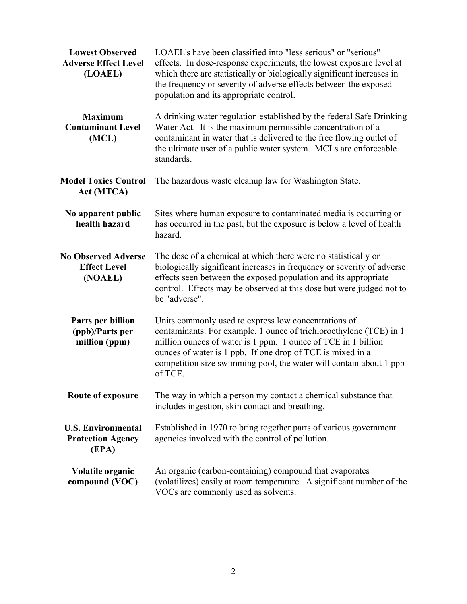| <b>Lowest Observed</b><br><b>Adverse Effect Level</b><br>(LOAEL) | LOAEL's have been classified into "less serious" or "serious"<br>effects. In dose-response experiments, the lowest exposure level at<br>which there are statistically or biologically significant increases in<br>the frequency or severity of adverse effects between the exposed<br>population and its appropriate control.              |  |  |
|------------------------------------------------------------------|--------------------------------------------------------------------------------------------------------------------------------------------------------------------------------------------------------------------------------------------------------------------------------------------------------------------------------------------|--|--|
| <b>Maximum</b><br><b>Contaminant Level</b><br>(MCL)              | A drinking water regulation established by the federal Safe Drinking<br>Water Act. It is the maximum permissible concentration of a<br>contaminant in water that is delivered to the free flowing outlet of<br>the ultimate user of a public water system. MCLs are enforceable<br>standards.                                              |  |  |
| <b>Model Toxics Control</b><br>Act (MTCA)                        | The hazardous waste cleanup law for Washington State.                                                                                                                                                                                                                                                                                      |  |  |
| No apparent public<br>health hazard                              | Sites where human exposure to contaminated media is occurring or<br>has occurred in the past, but the exposure is below a level of health<br>hazard.                                                                                                                                                                                       |  |  |
| <b>No Observed Adverse</b><br><b>Effect Level</b><br>(NOAEL)     | The dose of a chemical at which there were no statistically or<br>biologically significant increases in frequency or severity of adverse<br>effects seen between the exposed population and its appropriate<br>control. Effects may be observed at this dose but were judged not to<br>be "adverse".                                       |  |  |
| Parts per billion<br>(ppb)/Parts per<br>million (ppm)            | Units commonly used to express low concentrations of<br>contaminants. For example, 1 ounce of trichloroethylene (TCE) in 1<br>million ounces of water is 1 ppm. 1 ounce of TCE in 1 billion<br>ounces of water is 1 ppb. If one drop of TCE is mixed in a<br>competition size swimming pool, the water will contain about 1 ppb<br>of TCE. |  |  |
| Route of exposure                                                | The way in which a person my contact a chemical substance that<br>includes ingestion, skin contact and breathing.                                                                                                                                                                                                                          |  |  |
| <b>U.S. Environmental</b><br><b>Protection Agency</b><br>(EPA)   | Established in 1970 to bring together parts of various government<br>agencies involved with the control of pollution.                                                                                                                                                                                                                      |  |  |
| Volatile organic<br>compound (VOC)                               | An organic (carbon-containing) compound that evaporates<br>(volatilizes) easily at room temperature. A significant number of the<br>VOCs are commonly used as solvents.                                                                                                                                                                    |  |  |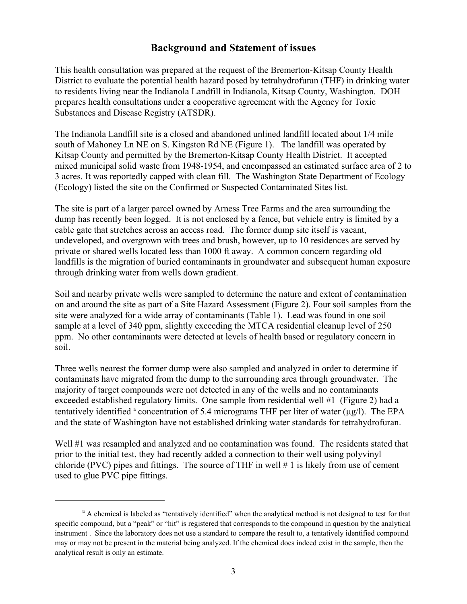### **Background and Statement of issues**

This health consultation was prepared at the request of the Bremerton-Kitsap County Health District to evaluate the potential health hazard posed by tetrahydrofuran (THF) in drinking water to residents living near the Indianola Landfill in Indianola, Kitsap County, Washington. DOH prepares health consultations under a cooperative agreement with the Agency for Toxic Substances and Disease Registry (ATSDR).

The Indianola Landfill site is a closed and abandoned unlined landfill located about 1/4 mile south of Mahoney Ln NE on S. Kingston Rd NE (Figure 1). The landfill was operated by Kitsap County and permitted by the Bremerton-Kitsap County Health District. It accepted mixed municipal solid waste from 1948-1954, and encompassed an estimated surface area of 2 to 3 acres. It was reportedly capped with clean fill. The Washington State Department of Ecology (Ecology) listed the site on the Confirmed or Suspected Contaminated Sites list.

The site is part of a larger parcel owned by Arness Tree Farms and the area surrounding the dump has recently been logged. It is not enclosed by a fence, but vehicle entry is limited by a cable gate that stretches across an access road. The former dump site itself is vacant, undeveloped, and overgrown with trees and brush, however, up to 10 residences are served by private or shared wells located less than 1000 ft away. A common concern regarding old landfills is the migration of buried contaminants in groundwater and subsequent human exposure through drinking water from wells down gradient.

Soil and nearby private wells were sampled to determine the nature and extent of contamination on and around the site as part of a Site Hazard Assessment (Figure 2). Four soil samples from the site were analyzed for a wide array of contaminants (Table 1). Lead was found in one soil sample at a level of 340 ppm, slightly exceeding the MTCA residential cleanup level of 250 ppm. No other contaminants were detected at levels of health based or regulatory concern in soil.

Three wells nearest the former dump were also sampled and analyzed in order to determine if contaminats have migrated from the dump to the surrounding area through groundwater. The majority of target compounds were not detected in any of the wells and no contaminants exceeded established regulatory limits. One sample from residential well #1 (Figure 2) had a tentatively identified  $a$  concentration of 5.4 micrograms THF per liter of water ( $\mu$ g/l). The EPA and the state of Washington have not established drinking water standards for tetrahydrofuran.

Well #1 was resampled and analyzed and no contamination was found. The residents stated that prior to the initial test, they had recently added a connection to their well using polyvinyl chloride (PVC) pipes and fittings. The source of THF in well  $# 1$  is likely from use of cement used to glue PVC pipe fittings.

<sup>&</sup>lt;sup>a</sup> A chemical is labeled as "tentatively identified" when the analytical method is not designed to test for that specific compound, but a "peak" or "hit" is registered that corresponds to the compound in question by the analytical instrument . Since the laboratory does not use a standard to compare the result to, a tentatively identified compound may or may not be present in the material being analyzed. If the chemical does indeed exist in the sample, then the analytical result is only an estimate.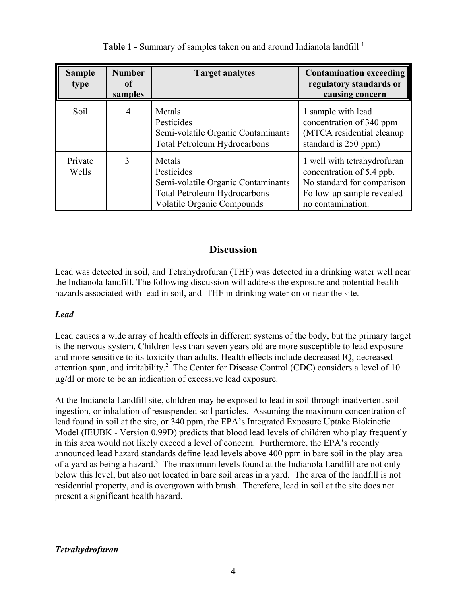| <b>Sample</b><br>type | <b>Number</b><br>оf<br>samples | <b>Target analytes</b>                                                                                                                 | <b>Contamination exceeding</b><br>regulatory standards or<br>causing concern                                                             |
|-----------------------|--------------------------------|----------------------------------------------------------------------------------------------------------------------------------------|------------------------------------------------------------------------------------------------------------------------------------------|
| Soil                  | 4                              | Metals<br>Pesticides<br>Semi-volatile Organic Contaminants<br><b>Total Petroleum Hydrocarbons</b>                                      | 1 sample with lead<br>concentration of 340 ppm<br>(MTCA residential cleanup<br>standard is 250 ppm)                                      |
| Private<br>Wells      | 3                              | Metals<br>Pesticides<br>Semi-volatile Organic Contaminants<br><b>Total Petroleum Hydrocarbons</b><br><b>Volatile Organic Compounds</b> | 1 well with tetrahydrofuran<br>concentration of 5.4 ppb.<br>No standard for comparison<br>Follow-up sample revealed<br>no contamination. |

Table 1 - Summary of samples taken on and around Indianola landfill <sup>1</sup>

### **Discussion**

Lead was detected in soil, and Tetrahydrofuran (THF) was detected in a drinking water well near the Indianola landfill. The following discussion will address the exposure and potential health hazards associated with lead in soil, and THF in drinking water on or near the site.

#### *Lead*

Lead causes a wide array of health effects in different systems of the body, but the primary target is the nervous system. Children less than seven years old are more susceptible to lead exposure and more sensitive to its toxicity than adults. Health effects include decreased IQ, decreased attention span, and irritability.<sup>2</sup> The Center for Disease Control (CDC) considers a level of 10 µg/dl or more to be an indication of excessive lead exposure.

At the Indianola Landfill site, children may be exposed to lead in soil through inadvertent soil ingestion, or inhalation of resuspended soil particles. Assuming the maximum concentration of lead found in soil at the site, or 340 ppm, the EPA's Integrated Exposure Uptake Biokinetic Model (IEUBK - Version 0.99D) predicts that blood lead levels of children who play frequently in this area would not likely exceed a level of concern. Furthermore, the EPA's recently announced lead hazard standards define lead levels above 400 ppm in bare soil in the play area of a yard as being a hazard.<sup>3</sup> The maximum levels found at the Indianola Landfill are not only below this level, but also not located in bare soil areas in a yard. The area of the landfill is not residential property, and is overgrown with brush. Therefore, lead in soil at the site does not present a significant health hazard.

#### *Tetrahydrofuran*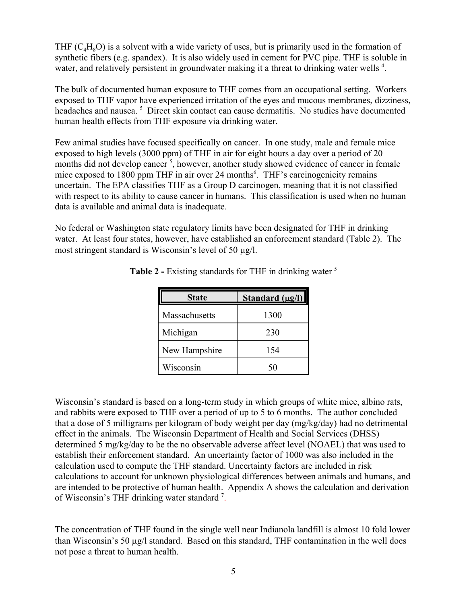THF  $(C<sub>a</sub>H<sub>s</sub>O)$  is a solvent with a wide variety of uses, but is primarily used in the formation of synthetic fibers (e.g. spandex). It is also widely used in cement for PVC pipe. THF is soluble in water, and relatively persistent in groundwater making it a threat to drinking water wells<sup>4</sup>.

The bulk of documented human exposure to THF comes from an occupational setting. Workers exposed to THF vapor have experienced irritation of the eyes and mucous membranes, dizziness, headaches and nausea.<sup>5</sup> Direct skin contact can cause dermatitis. No studies have documented human health effects from THF exposure via drinking water.

Few animal studies have focused specifically on cancer. In one study, male and female mice exposed to high levels (3000 ppm) of THF in air for eight hours a day over a period of 20 months did not develop cancer<sup>5</sup>, however, another study showed evidence of cancer in female mice exposed to 1800 ppm THF in air over 24 months<sup>6</sup>. THF's carcinogenicity remains uncertain. The EPA classifies THF as a Group D carcinogen, meaning that it is not classified with respect to its ability to cause cancer in humans. This classification is used when no human data is available and animal data is inadequate.

No federal or Washington state regulatory limits have been designated for THF in drinking water. At least four states, however, have established an enforcement standard (Table 2). The most stringent standard is Wisconsin's level of 50 µg/l.

| <b>State</b>  | Standard $(\mu g/l)$ |
|---------------|----------------------|
| Massachusetts | 1300                 |
| Michigan      | 230                  |
| New Hampshire | 154                  |
| Wisconsin     | 50                   |

**Table 2 -** Existing standards for THF in drinking water <sup>5</sup>

Wisconsin's standard is based on a long-term study in which groups of white mice, albino rats, and rabbits were exposed to THF over a period of up to 5 to 6 months. The author concluded that a dose of 5 milligrams per kilogram of body weight per day (mg/kg/day) had no detrimental effect in the animals. The Wisconsin Department of Health and Social Services (DHSS) determined 5 mg/kg/day to be the no observable adverse affect level (NOAEL) that was used to establish their enforcement standard. An uncertainty factor of 1000 was also included in the calculation used to compute the THF standard. Uncertainty factors are included in risk calculations to account for unknown physiological differences between animals and humans, and are intended to be protective of human health. Appendix A shows the calculation and derivation of Wisconsin's THF drinking water standard<sup>7</sup>.

The concentration of THF found in the single well near Indianola landfill is almost 10 fold lower than Wisconsin's 50 µg/l standard. Based on this standard, THF contamination in the well does not pose a threat to human health.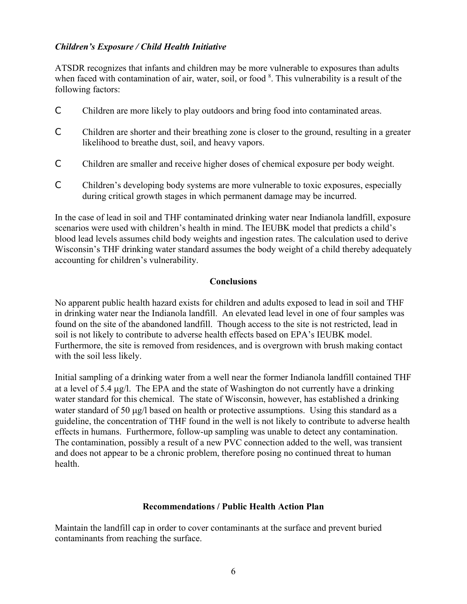#### *Children's Exposure / Child Health Initiative*

ATSDR recognizes that infants and children may be more vulnerable to exposures than adults when faced with contamination of air, water, soil, or food <sup>8</sup>. This vulnerability is a result of the following factors:

- C Children are more likely to play outdoors and bring food into contaminated areas.
- C Children are shorter and their breathing zone is closer to the ground, resulting in a greater likelihood to breathe dust, soil, and heavy vapors.
- C Children are smaller and receive higher doses of chemical exposure per body weight.
- C Children's developing body systems are more vulnerable to toxic exposures, especially during critical growth stages in which permanent damage may be incurred.

In the case of lead in soil and THF contaminated drinking water near Indianola landfill, exposure scenarios were used with children's health in mind. The IEUBK model that predicts a child's blood lead levels assumes child body weights and ingestion rates. The calculation used to derive Wisconsin's THF drinking water standard assumes the body weight of a child thereby adequately accounting for children's vulnerability.

#### **Conclusions**

No apparent public health hazard exists for children and adults exposed to lead in soil and THF in drinking water near the Indianola landfill. An elevated lead level in one of four samples was found on the site of the abandoned landfill. Though access to the site is not restricted, lead in soil is not likely to contribute to adverse health effects based on EPA's IEUBK model. Furthermore, the site is removed from residences, and is overgrown with brush making contact with the soil less likely.

Initial sampling of a drinking water from a well near the former Indianola landfill contained THF at a level of 5.4 µg/l. The EPA and the state of Washington do not currently have a drinking water standard for this chemical. The state of Wisconsin, however, has established a drinking water standard of 50 µg/l based on health or protective assumptions. Using this standard as a guideline, the concentration of THF found in the well is not likely to contribute to adverse health effects in humans. Furthermore, follow-up sampling was unable to detect any contamination. The contamination, possibly a result of a new PVC connection added to the well, was transient and does not appear to be a chronic problem, therefore posing no continued threat to human health.

#### **Recommendations / Public Health Action Plan**

Maintain the landfill cap in order to cover contaminants at the surface and prevent buried contaminants from reaching the surface.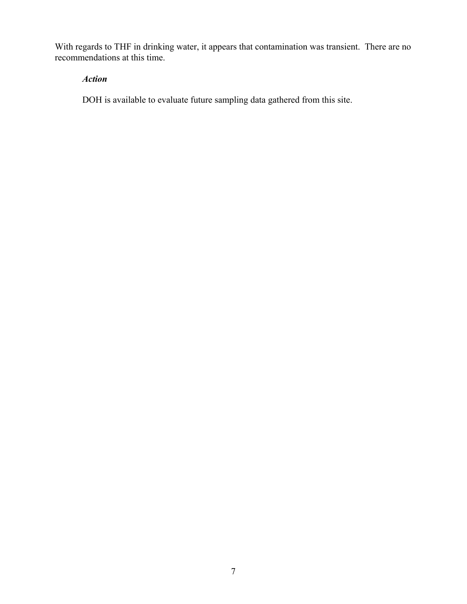With regards to THF in drinking water, it appears that contamination was transient. There are no recommendations at this time.

#### *Action*

DOH is available to evaluate future sampling data gathered from this site.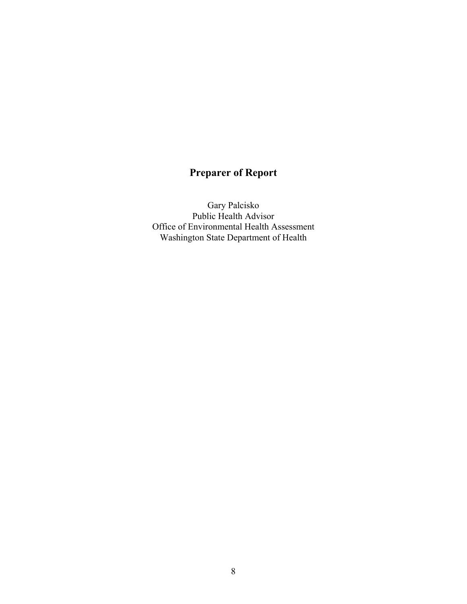## **Preparer of Report**

Gary Palcisko Public Health Advisor Office of Environmental Health Assessment Washington State Department of Health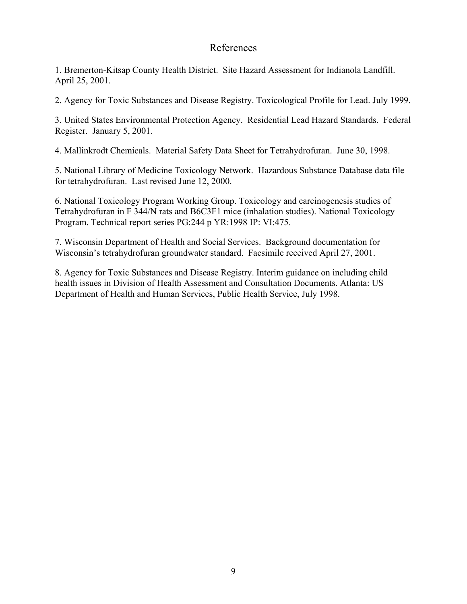#### References

1. Bremerton-Kitsap County Health District. Site Hazard Assessment for Indianola Landfill. April 25, 2001.

2. Agency for Toxic Substances and Disease Registry. Toxicological Profile for Lead. July 1999.

3. United States Environmental Protection Agency. Residential Lead Hazard Standards. Federal Register. January 5, 2001.

4. Mallinkrodt Chemicals. Material Safety Data Sheet for Tetrahydrofuran. June 30, 1998.

5. National Library of Medicine Toxicology Network. Hazardous Substance Database data file for tetrahydrofuran. Last revised June 12, 2000.

6. National Toxicology Program Working Group. Toxicology and carcinogenesis studies of Tetrahydrofuran in F 344/N rats and B6C3F1 mice (inhalation studies). National Toxicology Program. Technical report series PG:244 p YR:1998 IP: VI:475.

7. Wisconsin Department of Health and Social Services. Background documentation for Wisconsin's tetrahydrofuran groundwater standard. Facsimile received April 27, 2001.

8. Agency for Toxic Substances and Disease Registry. Interim guidance on including child health issues in Division of Health Assessment and Consultation Documents. Atlanta: US Department of Health and Human Services, Public Health Service, July 1998.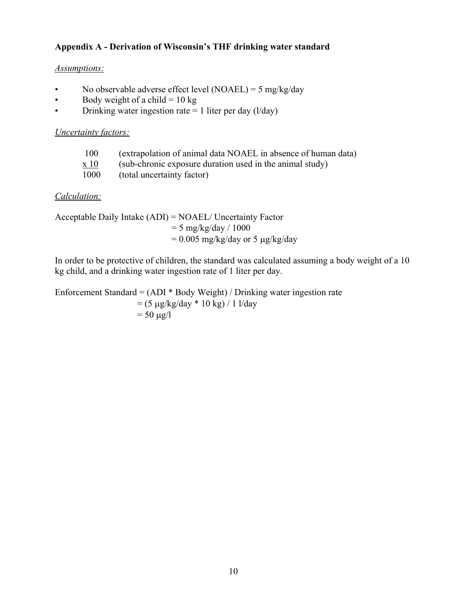#### **Appendix A - Derivation of Wisconsin's THF drinking water standard**

#### *Assumptions:*

- No observable adverse effect level (NOAEL) = 5 mg/kg/day
- Body weight of a child  $= 10 \text{ kg}$
- Drinking water ingestion rate  $= 1$  liter per day ( $1/\text{day}$ )

#### *Uncertainty factors:*

| 100             | (extrapolation of animal data NOAEL in absence of human data) |
|-----------------|---------------------------------------------------------------|
| $\mathbf{X}$ 10 | (sub-chronic exposure duration used in the animal study)      |
| 1000            | (total uncertainty factor)                                    |

#### *Calculation:*

Acceptable Daily Intake (ADI) = NOAEL/ Uncertainty Factor  $= 5$  mg/kg/day / 1000  $= 0.005$  mg/kg/day or 5  $\mu$ g/kg/day

In order to be protective of children, the standard was calculated assuming a body weight of a 10 kg child, and a drinking water ingestion rate of 1 liter per day.

Enforcement Standard = (ADI \* Body Weight) / Drinking water ingestion rate  $=$  (5 µg/kg/day \* 10 kg) / 1 l/day  $= 50 \mu g/l$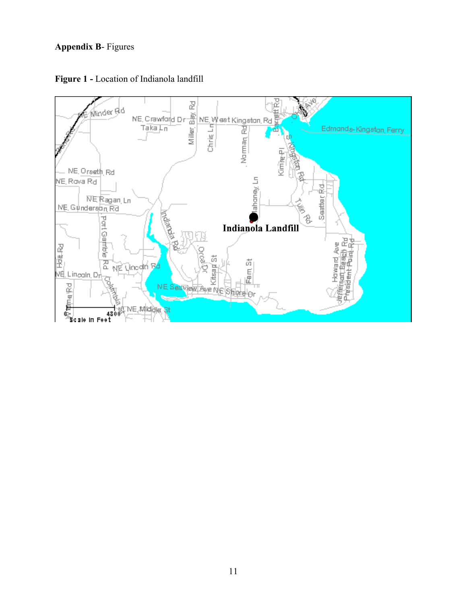#### **Appendix B**- Figures



**Figure 1 -** Location of Indianola landfill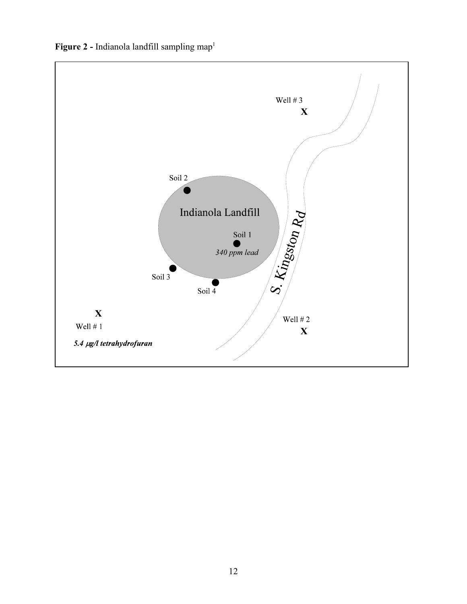Figure 2 - Indianola landfill sampling map<sup>1</sup>